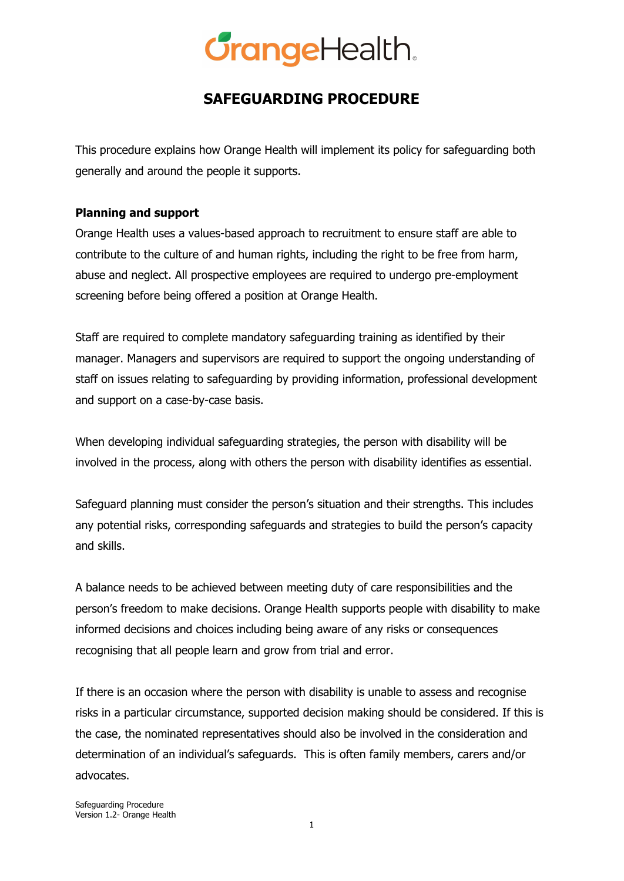### **SAFEGUARDING PROCEDURE**

This procedure explains how Orange Health will implement its policy for safeguarding both generally and around the people it supports.

#### **Planning and support**

Orange Health uses a values-based approach to recruitment to ensure staff are able to contribute to the culture of and human rights, including the right to be free from harm, abuse and neglect. All prospective employees are required to undergo pre-employment screening before being offered a position at Orange Health.

Staff are required to complete mandatory safeguarding training as identified by their manager. Managers and supervisors are required to support the ongoing understanding of staff on issues relating to safeguarding by providing information, professional development and support on a case-by-case basis.

When developing individual safeguarding strategies, the person with disability will be involved in the process, along with others the person with disability identifies as essential.

Safeguard planning must consider the person's situation and their strengths. This includes any potential risks, corresponding safeguards and strategies to build the person's capacity and skills.

A balance needs to be achieved between meeting duty of care responsibilities and the person's freedom to make decisions. Orange Health supports people with disability to make informed decisions and choices including being aware of any risks or consequences recognising that all people learn and grow from trial and error.

If there is an occasion where the person with disability is unable to assess and recognise risks in a particular circumstance, supported decision making should be considered. If this is the case, the nominated representatives should also be involved in the consideration and determination of an individual's safeguards. This is often family members, carers and/or advocates.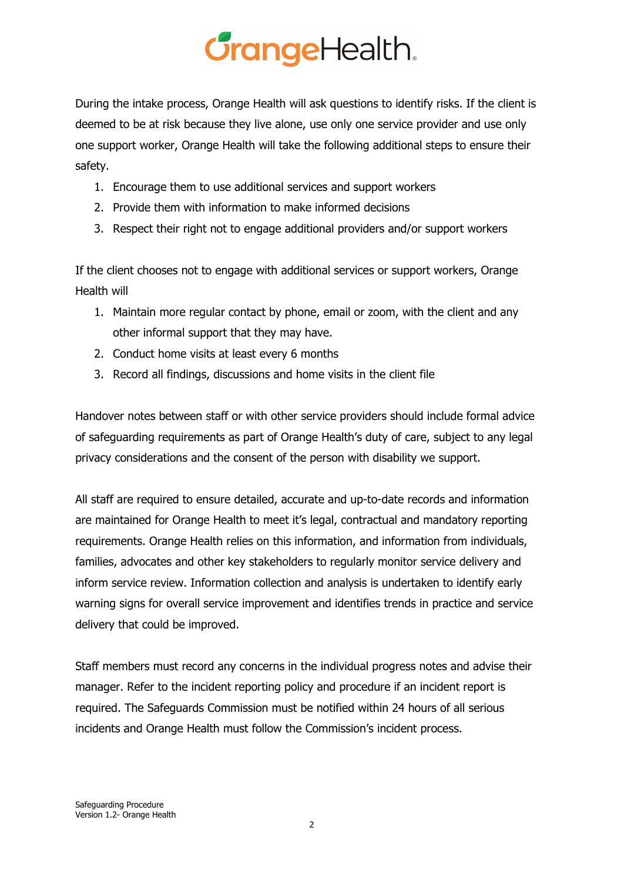During the intake process, Orange Health will ask questions to identify risks. If the client is deemed to be at risk because they live alone, use only one service provider and use only one support worker, Orange Health will take the following additional steps to ensure their safety.

- 1. Encourage them to use additional services and support workers
- 2. Provide them with information to make informed decisions
- 3. Respect their right not to engage additional providers and/or support workers

If the client chooses not to engage with additional services or support workers, Orange Health will

- 1. Maintain more regular contact by phone, email or zoom, with the client and any other informal support that they may have.
- 2. Conduct home visits at least every 6 months
- 3. Record all findings, discussions and home visits in the client file

Handover notes between staff or with other service providers should include formal advice of safeguarding requirements as part of Orange Health's duty of care, subject to any legal privacy considerations and the consent of the person with disability we support.

All staff are required to ensure detailed, accurate and up-to-date records and information are maintained for Orange Health to meet it's legal, contractual and mandatory reporting requirements. Orange Health relies on this information, and information from individuals, families, advocates and other key stakeholders to regularly monitor service delivery and inform service review. Information collection and analysis is undertaken to identify early warning signs for overall service improvement and identifies trends in practice and service delivery that could be improved.

Staff members must record any concerns in the individual progress notes and advise their manager. Refer to the incident reporting policy and procedure if an incident report is required. The Safeguards Commission must be notified within 24 hours of all serious incidents and Orange Health must follow the Commission's incident process.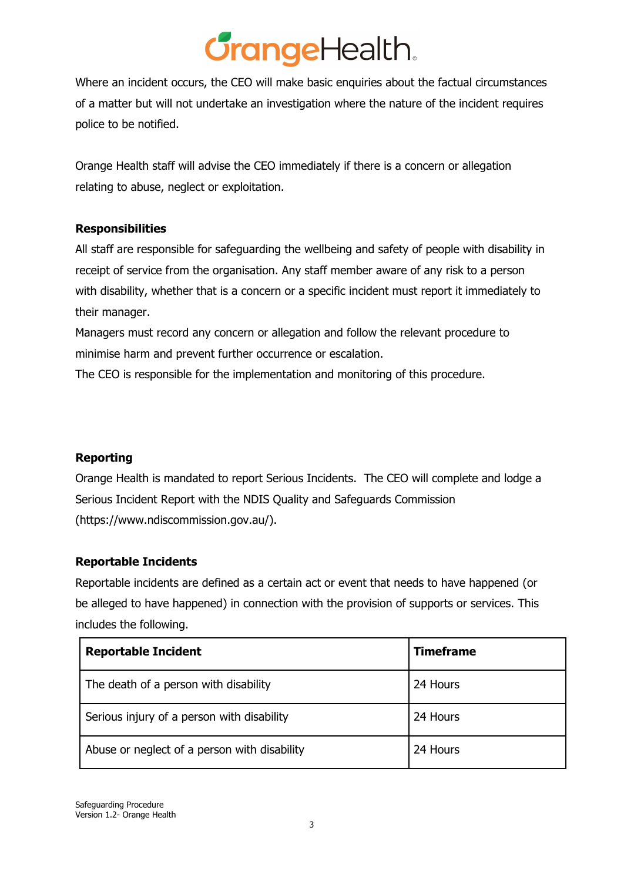Where an incident occurs, the CEO will make basic enquiries about the factual circumstances of a matter but will not undertake an investigation where the nature of the incident requires police to be notified.

Orange Health staff will advise the CEO immediately if there is a concern or allegation relating to abuse, neglect or exploitation.

#### **Responsibilities**

All staff are responsible for safeguarding the wellbeing and safety of people with disability in receipt of service from the organisation. Any staff member aware of any risk to a person with disability, whether that is a concern or a specific incident must report it immediately to their manager.

Managers must record any concern or allegation and follow the relevant procedure to minimise harm and prevent further occurrence or escalation.

The CEO is responsible for the implementation and monitoring of this procedure.

#### **Reporting**

Orange Health is mandated to report Serious Incidents. The CEO will complete and lodge a Serious Incident Report with the NDIS Quality and Safeguards Commission (https://www.ndiscommission.gov.au/).

#### **Reportable Incidents**

Reportable incidents are defined as a certain act or event that needs to have happened (or be alleged to have happened) in connection with the provision of supports or services. This includes the following.

| <b>Reportable Incident</b>                   | <b>Timeframe</b> |
|----------------------------------------------|------------------|
| The death of a person with disability        | 24 Hours         |
| Serious injury of a person with disability   | 24 Hours         |
| Abuse or neglect of a person with disability | 24 Hours         |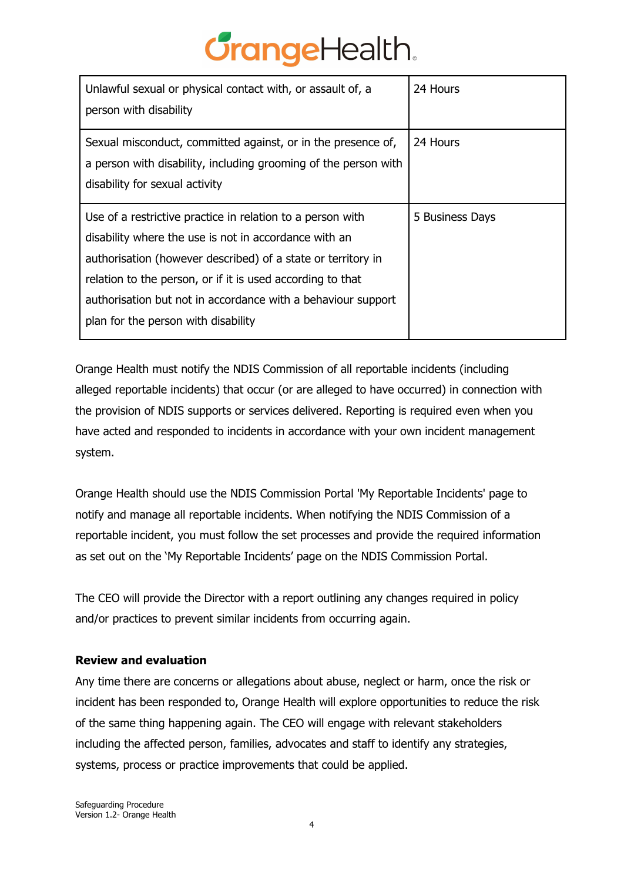| Unlawful sexual or physical contact with, or assault of, a<br>person with disability                                                                                                                                                                                                                                                                     | 24 Hours        |
|----------------------------------------------------------------------------------------------------------------------------------------------------------------------------------------------------------------------------------------------------------------------------------------------------------------------------------------------------------|-----------------|
| Sexual misconduct, committed against, or in the presence of,<br>a person with disability, including grooming of the person with<br>disability for sexual activity                                                                                                                                                                                        | 24 Hours        |
| Use of a restrictive practice in relation to a person with<br>disability where the use is not in accordance with an<br>authorisation (however described) of a state or territory in<br>relation to the person, or if it is used according to that<br>authorisation but not in accordance with a behaviour support<br>plan for the person with disability | 5 Business Days |

Orange Health must notify the NDIS Commission of all reportable incidents (including alleged reportable incidents) that occur (or are alleged to have occurred) in connection with the provision of NDIS supports or services delivered. Reporting is required even when you have acted and responded to incidents in accordance with your own incident management system.

Orange Health should use the NDIS Commission Portal 'My Reportable Incidents' page to notify and manage all reportable incidents. When notifying the NDIS Commission of a reportable incident, you must follow the set processes and provide the required information as set out on the 'My Reportable Incidents' page on the NDIS [Commission](https://www.ndiscommission.gov.au/providers/ndis-commission-portal) Portal.

The CEO will provide the Director with a report outlining any changes required in policy and/or practices to prevent similar incidents from occurring again.

#### **Review and evaluation**

Any time there are concerns or allegations about abuse, neglect or harm, once the risk or incident has been responded to, Orange Health will explore opportunities to reduce the risk of the same thing happening again. The CEO will engage with relevant stakeholders including the affected person, families, advocates and staff to identify any strategies, systems, process or practice improvements that could be applied.